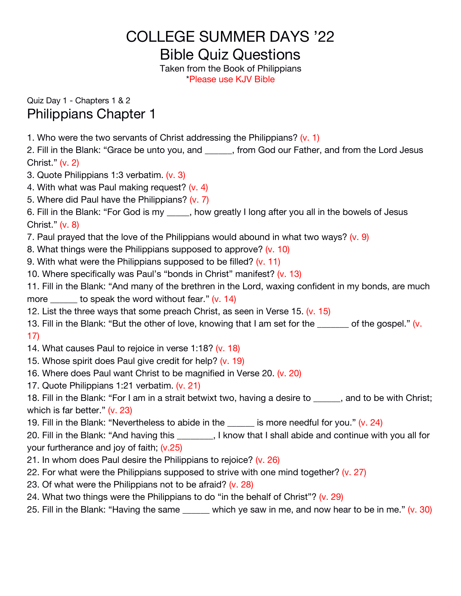## COLLEGE SUMMER DAYS '22

Bible Quiz Questions

Taken from the Book of Philippians \*Please use KJV Bible

Quiz Day 1 - Chapters 1 & 2 Philippians Chapter 1

1. Who were the two servants of Christ addressing the Philippians?  $(v, 1)$ 

2. Fill in the Blank: "Grace be unto you, and \_\_\_\_\_\_, from God our Father, and from the Lord Jesus Christ." (v. 2)

- 3. Quote Philippians 1:3 verbatim. (v. 3)
- 4. With what was Paul making request? (v. 4)
- 5. Where did Paul have the Philippians? (v. 7)

6. Fill in the Blank: "For God is my \_\_\_\_, how greatly I long after you all in the bowels of Jesus Christ." (v. 8)

- 7. Paul prayed that the love of the Philippians would abound in what two ways?  $(v. 9)$
- 8. What things were the Philippians supposed to approve? (v. 10)
- 9. With what were the Philippians supposed to be filled? (v. 11)
- 10. Where specifically was Paul's "bonds in Christ" manifest? (v. 13)

11. Fill in the Blank: "And many of the brethren in the Lord, waxing confident in my bonds, are much more to speak the word without fear."  $(v. 14)$ 

- 12. List the three ways that some preach Christ, as seen in Verse 15. (v. 15)
- 13. Fill in the Blank: "But the other of love, knowing that I am set for the  $\frac{1}{10}$  of the gospel." (v. 17)
- 14. What causes Paul to rejoice in verse 1:18? (v. 18)
- 15. Whose spirit does Paul give credit for help? (v. 19)
- 16. Where does Paul want Christ to be magnified in Verse 20. (v. 20)
- 17. Quote Philippians 1:21 verbatim. (v. 21)

18. Fill in the Blank: "For I am in a strait betwixt two, having a desire to and to be with Christ; which is far better." (v. 23)

19. Fill in the Blank: "Nevertheless to abide in the  $\frac{1}{\sqrt{2}}$  is more needful for you." (v. 24)

20. Fill in the Blank: "And having this \_\_\_\_\_\_\_\_, I know that I shall abide and continue with you all for your furtherance and joy of faith; (v.25)

- 21. In whom does Paul desire the Philippians to rejoice? (v. 26)
- 22. For what were the Philippians supposed to strive with one mind together? (v. 27)
- 23. Of what were the Philippians not to be afraid? (v. 28)
- 24. What two things were the Philippians to do "in the behalf of Christ"? (v. 29)
- 25. Fill in the Blank: "Having the same  $\mu$  which ye saw in me, and now hear to be in me." (v. 30)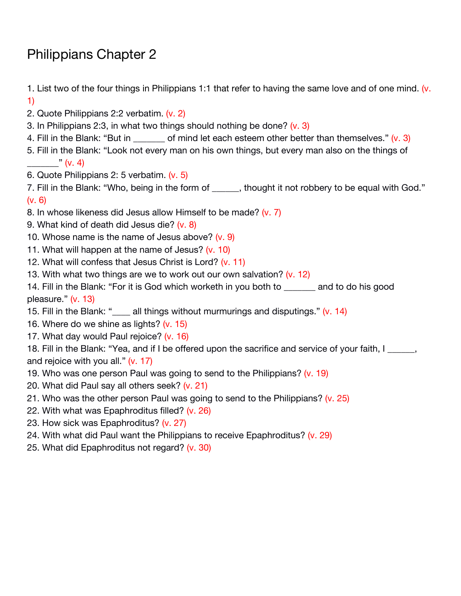## Philippians Chapter 2

1. List two of the four things in Philippians 1:1 that refer to having the same love and of one mind.  $(v.$ 1)

- 2. Quote Philippians 2:2 verbatim. (v. 2)
- 3. In Philippians 2:3, in what two things should nothing be done?  $(v, 3)$
- 4. Fill in the Blank: "But in  $\qquad \qquad$  of mind let each esteem other better than themselves." (v. 3)
- 5. Fill in the Blank: "Look not every man on his own things, but every man also on the things of  $\sqrt{v}$  (v. 4)
- 6. Quote Philippians 2: 5 verbatim. (v. 5)

7. Fill in the Blank: "Who, being in the form of thought it not robbery to be equal with God." (v. 6)

- 8. In whose likeness did Jesus allow Himself to be made? (v. 7)
- 9. What kind of death did Jesus die? (v. 8)
- 10. Whose name is the name of Jesus above? (v. 9)
- 11. What will happen at the name of Jesus? (v. 10)
- 12. What will confess that Jesus Christ is Lord? (v. 11)
- 13. With what two things are we to work out our own salvation? (v. 12)
- 14. Fill in the Blank: "For it is God which worketh in you both to \_\_\_\_\_\_\_ and to do his good pleasure." (v. 13)
- 15. Fill in the Blank: "
call things without murmurings and disputings." (v. 14)
- 16. Where do we shine as lights? (v. 15)
- 17. What day would Paul rejoice? (v. 16)

18. Fill in the Blank: "Yea, and if I be offered upon the sacrifice and service of your faith, I and rejoice with you all."  $(v. 17)$ 

- 19. Who was one person Paul was going to send to the Philippians? (v. 19)
- 20. What did Paul say all others seek? (v.21)
- 21. Who was the other person Paul was going to send to the Philippians? (v. 25)
- 22. With what was Epaphroditus filled? (v.26)
- 23. How sick was Epaphroditus? (v. 27)
- 24. With what did Paul want the Philippians to receive Epaphroditus? (v. 29)
- 25. What did Epaphroditus not regard? (v. 30)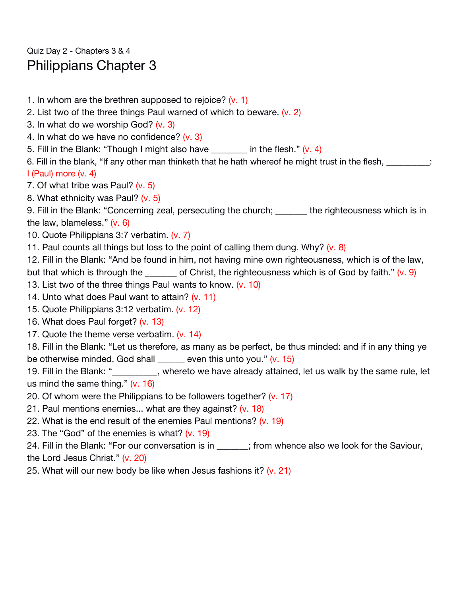Quiz Day 2 - Chapters 3 & 4 Philippians Chapter 3

1. In whom are the brethren supposed to rejoice? (v. 1) 2. List two of the three things Paul warned of which to beware. (v. 2) 3. In what do we worship God? (v. 3) 4. In what do we have no confidence? (v. 3) 5. Fill in the Blank: "Though I might also have  $\frac{1}{2}$  in the flesh." (v. 4) 6. Fill in the blank, "If any other man thinketh that he hath whereof he might trust in the flesh, \_\_\_\_\_\_\_\_\_\_: I (Paul) more (v. 4) 7. Of what tribe was Paul? (v. 5) 8. What ethnicity was Paul? (v. 5) 9. Fill in the Blank: "Concerning zeal, persecuting the church; \_\_\_\_\_\_\_ the righteousness which is in the law, blameless." (v. 6) 10. Quote Philippians 3:7 verbatim. (v. 7) 11. Paul counts all things but loss to the point of calling them dung. Why?  $(v. 8)$ 12. Fill in the Blank: "And be found in him, not having mine own righteousness, which is of the law, but that which is through the \_\_\_\_\_\_ of Christ, the righteousness which is of God by faith."  $(v.9)$ 13. List two of the three things Paul wants to know. (v. 10) 14. Unto what does Paul want to attain? (v. 11) 15. Quote Philippians 3:12 verbatim. (v. 12) 16. What does Paul forget? (v. 13) 17. Quote the theme verse verbatim. (v. 14) 18. Fill in the Blank: "Let us therefore, as many as be perfect, be thus minded: and if in any thing ye be otherwise minded, God shall \_\_\_\_\_\_ even this unto you." (v. 15) 19. Fill in the Blank: "\_\_\_\_\_\_\_\_, whereto we have already attained, let us walk by the same rule, let us mind the same thing." (v. 16) 20. Of whom were the Philippians to be followers together? (v. 17) 21. Paul mentions enemies... what are they against? (v. 18) 22. What is the end result of the enemies Paul mentions? (v. 19) 23. The "God" of the enemies is what? (v. 19) 24. Fill in the Blank: "For our conversation is in Fig. 5. (from whence also we look for the Saviour,

the Lord Jesus Christ." (v. 20)

25. What will our new body be like when Jesus fashions it? (v. 21)